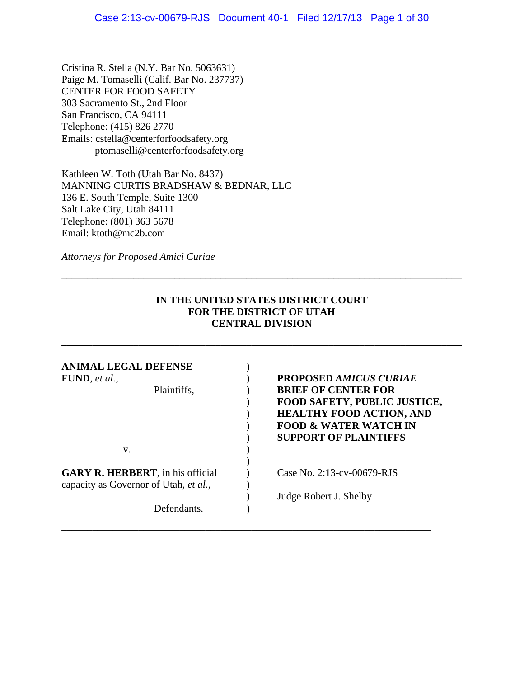Cristina R. Stella (N.Y. Bar No. 5063631) Paige M. Tomaselli (Calif. Bar No. 237737) CENTER FOR FOOD SAFETY 303 Sacramento St., 2nd Floor San Francisco, CA 94111 Telephone: (415) 826 2770 Emails: cstella@centerforfoodsafety.org ptomaselli@centerforfoodsafety.org

Kathleen W. Toth (Utah Bar No. 8437) MANNING CURTIS BRADSHAW & BEDNAR, LLC 136 E. South Temple, Suite 1300 Salt Lake City, Utah 84111 Telephone: (801) 363 5678 Email: ktoth@mc2b.com

*Attorneys for Proposed Amici Curiae* 

### **IN THE UNITED STATES DISTRICT COURT FOR THE DISTRICT OF UTAH CENTRAL DIVISION**

**\_\_\_\_\_\_\_\_\_\_\_\_\_\_\_\_\_\_\_\_\_\_\_\_\_\_\_\_\_\_\_\_\_\_\_\_\_\_\_\_\_\_\_\_\_\_\_\_\_\_\_\_\_\_\_\_\_\_\_\_\_\_\_\_\_\_\_\_\_\_\_\_\_\_\_\_\_\_**

\_\_\_\_\_\_\_\_\_\_\_\_\_\_\_\_\_\_\_\_\_\_\_\_\_\_\_\_\_\_\_\_\_\_\_\_\_\_\_\_\_\_\_\_\_\_\_\_\_\_\_\_\_\_\_\_\_\_\_\_\_\_\_\_\_\_\_\_\_\_\_\_\_\_\_\_\_\_

| ANIMAL LEGAL DEFENSE<br>FUND, et al.,<br>Plaintiffs,                              | <b>PROPOSED AMICUS CURIAE</b><br><b>BRIEF OF CENTER FOR</b><br><b>FOOD SAFETY, PUBLIC JUSTICE,</b><br><b>HEALTHY FOOD ACTION, AND</b><br><b>FOOD &amp; WATER WATCH IN</b><br><b>SUPPORT OF PLAINTIFFS</b> |
|-----------------------------------------------------------------------------------|-----------------------------------------------------------------------------------------------------------------------------------------------------------------------------------------------------------|
| V.                                                                                |                                                                                                                                                                                                           |
| <b>GARY R. HERBERT</b> , in his official<br>capacity as Governor of Utah, et al., | Case No. $2:13$ -cv-00679-RJS                                                                                                                                                                             |
| Defendants.                                                                       | Judge Robert J. Shelby                                                                                                                                                                                    |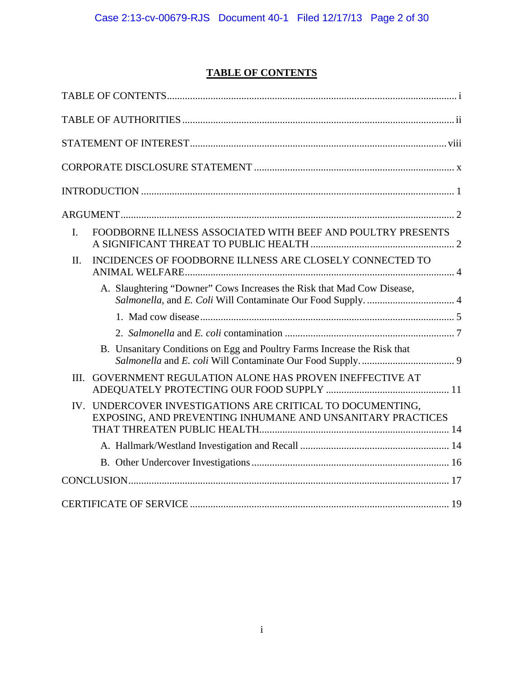# **TABLE OF CONTENTS**

| FOODBORNE ILLNESS ASSOCIATED WITH BEEF AND POULTRY PRESENTS<br>$\mathbf{I}$ .                                               |
|-----------------------------------------------------------------------------------------------------------------------------|
| INCIDENCES OF FOODBORNE ILLNESS ARE CLOSELY CONNECTED TO<br>II.                                                             |
| A. Slaughtering "Downer" Cows Increases the Risk that Mad Cow Disease,                                                      |
|                                                                                                                             |
|                                                                                                                             |
| B. Unsanitary Conditions on Egg and Poultry Farms Increase the Risk that                                                    |
| GOVERNMENT REGULATION ALONE HAS PROVEN INEFFECTIVE AT<br>III.                                                               |
| UNDERCOVER INVESTIGATIONS ARE CRITICAL TO DOCUMENTING,<br>IV.<br>EXPOSING, AND PREVENTING INHUMANE AND UNSANITARY PRACTICES |
|                                                                                                                             |
|                                                                                                                             |
|                                                                                                                             |
|                                                                                                                             |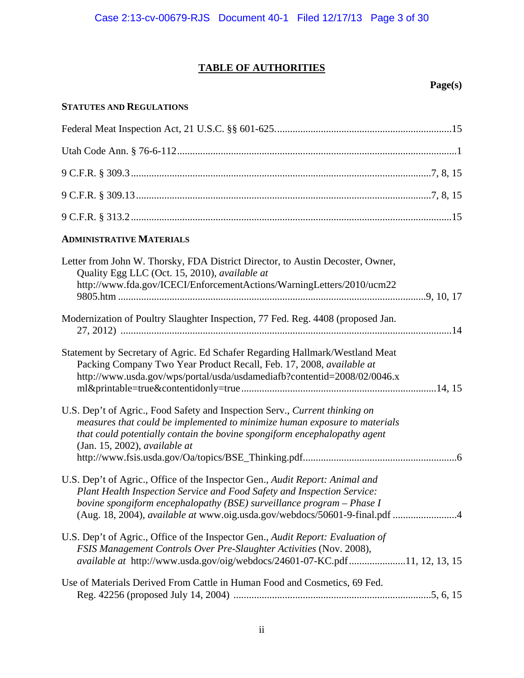# **TABLE OF AUTHORITIES**

# **Page(s)**

### **STATUTES AND REGULATIONS**

| <b>ADMINISTRATIVE MATERIALS</b>                                                                                                                                                                                                                                                                                |
|----------------------------------------------------------------------------------------------------------------------------------------------------------------------------------------------------------------------------------------------------------------------------------------------------------------|
| Letter from John W. Thorsky, FDA District Director, to Austin Decoster, Owner,<br>Quality Egg LLC (Oct. 15, 2010), available at<br>http://www.fda.gov/ICECI/EnforcementActions/WarningLetters/2010/ucm22                                                                                                       |
| Modernization of Poultry Slaughter Inspection, 77 Fed. Reg. 4408 (proposed Jan.                                                                                                                                                                                                                                |
| Statement by Secretary of Agric. Ed Schafer Regarding Hallmark/Westland Meat<br>Packing Company Two Year Product Recall, Feb. 17, 2008, available at<br>http://www.usda.gov/wps/portal/usda/usdamediafb?contentid=2008/02/0046.x                                                                               |
| U.S. Dep't of Agric., Food Safety and Inspection Serv., Current thinking on<br>measures that could be implemented to minimize human exposure to materials<br>that could potentially contain the bovine spongiform encephalopathy agent<br>(Jan. 15, 2002), available at                                        |
| U.S. Dep't of Agric., Office of the Inspector Gen., Audit Report: Animal and<br>Plant Health Inspection Service and Food Safety and Inspection Service:<br>bovine spongiform encephalopathy (BSE) surveillance program - Phase I<br>(Aug. 18, 2004), available at www.oig.usda.gov/webdocs/50601-9-final.pdf 4 |
| U.S. Dep't of Agric., Office of the Inspector Gen., Audit Report: Evaluation of<br>FSIS Management Controls Over Pre-Slaughter Activities (Nov. 2008),<br>available at http://www.usda.gov/oig/webdocs/24601-07-KC.pdf11, 12, 13, 15                                                                           |
| Use of Materials Derived From Cattle in Human Food and Cosmetics, 69 Fed.                                                                                                                                                                                                                                      |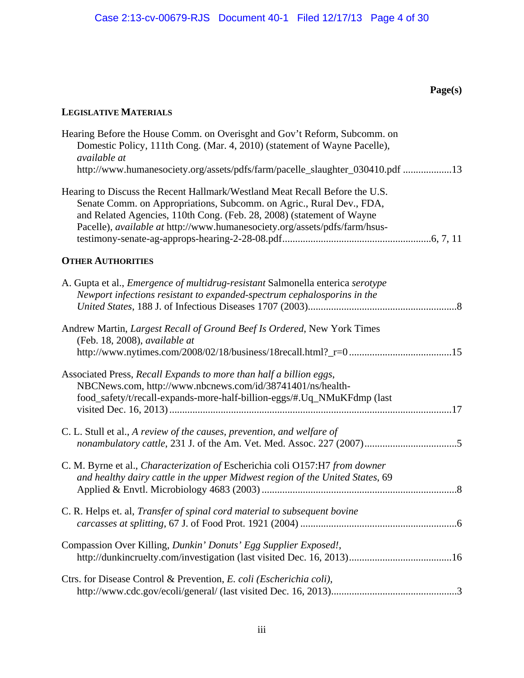# **LEGISLATIVE MATERIALS**

| Hearing Before the House Comm. on Overisght and Gov't Reform, Subcomm. on<br>Domestic Policy, 111th Cong. (Mar. 4, 2010) (statement of Wayne Pacelle),<br>available at                                                                                                                                     |
|------------------------------------------------------------------------------------------------------------------------------------------------------------------------------------------------------------------------------------------------------------------------------------------------------------|
| http://www.humanesociety.org/assets/pdfs/farm/pacelle_slaughter_030410.pdf 13                                                                                                                                                                                                                              |
| Hearing to Discuss the Recent Hallmark/Westland Meat Recall Before the U.S.<br>Senate Comm. on Appropriations, Subcomm. on Agric., Rural Dev., FDA,<br>and Related Agencies, 110th Cong. (Feb. 28, 2008) (statement of Wayne<br>Pacelle), available at http://www.humanesociety.org/assets/pdfs/farm/hsus- |
| <b>OTHER AUTHORITIES</b>                                                                                                                                                                                                                                                                                   |
| A. Gupta et al., <i>Emergence of multidrug-resistant</i> Salmonella enterica serotype<br>Newport infections resistant to expanded-spectrum cephalosporins in the                                                                                                                                           |
| Andrew Martin, Largest Recall of Ground Beef Is Ordered, New York Times<br>(Feb. 18, 2008), available at                                                                                                                                                                                                   |
| Associated Press, Recall Expands to more than half a billion eggs,<br>NBCNews.com, http://www.nbcnews.com/id/38741401/ns/health-<br>food_safety/t/recall-expands-more-half-billion-eggs/#.Uq_NMuKFdmp (last                                                                                                |
| C. L. Stull et al., A review of the causes, prevention, and welfare of                                                                                                                                                                                                                                     |
| C. M. Byrne et al., Characterization of Escherichia coli O157:H7 from downer<br>and healthy dairy cattle in the upper Midwest region of the United States, 69                                                                                                                                              |
| C. R. Helps et. al, Transfer of spinal cord material to subsequent bovine                                                                                                                                                                                                                                  |
| Compassion Over Killing, Dunkin' Donuts' Egg Supplier Exposed!,                                                                                                                                                                                                                                            |
| Ctrs. for Disease Control & Prevention, E. coli (Escherichia coli),                                                                                                                                                                                                                                        |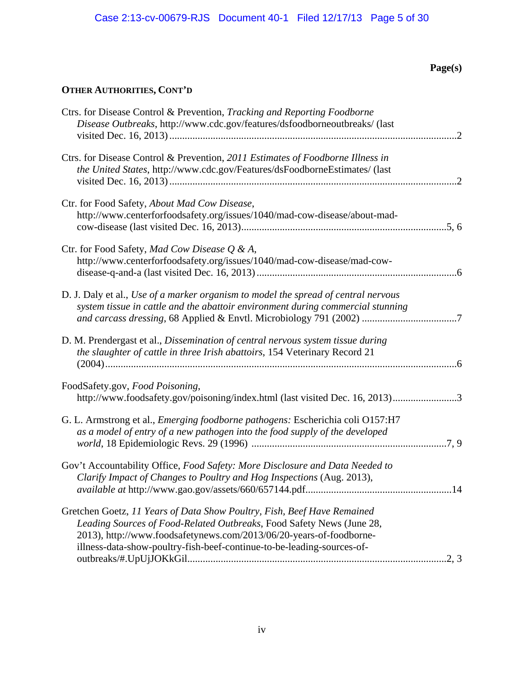| Ctrs. for Disease Control & Prevention, Tracking and Reporting Foodborne<br>Disease Outbreaks, http://www.cdc.gov/features/dsfoodborneoutbreaks/ (last                                                                                                                                            |  |
|---------------------------------------------------------------------------------------------------------------------------------------------------------------------------------------------------------------------------------------------------------------------------------------------------|--|
| Ctrs. for Disease Control & Prevention, 2011 Estimates of Foodborne Illness in<br>the United States, http://www.cdc.gov/Features/dsFoodborneEstimates/ (last                                                                                                                                      |  |
| Ctr. for Food Safety, About Mad Cow Disease,<br>http://www.centerforfoodsafety.org/issues/1040/mad-cow-disease/about-mad-                                                                                                                                                                         |  |
| Ctr. for Food Safety, Mad Cow Disease Q & A,<br>http://www.centerforfoodsafety.org/issues/1040/mad-cow-disease/mad-cow-                                                                                                                                                                           |  |
| D. J. Daly et al., Use of a marker organism to model the spread of central nervous<br>system tissue in cattle and the abattoir environment during commercial stunning                                                                                                                             |  |
| D. M. Prendergast et al., Dissemination of central nervous system tissue during<br>the slaughter of cattle in three Irish abattoirs, 154 Veterinary Record 21                                                                                                                                     |  |
| FoodSafety.gov, Food Poisoning,<br>http://www.foodsafety.gov/poisoning/index.html (last visited Dec. 16, 2013)3                                                                                                                                                                                   |  |
| G. L. Armstrong et al., <i>Emerging foodborne pathogens</i> : Escherichia coli O157:H7<br>as a model of entry of a new pathogen into the food supply of the developed                                                                                                                             |  |
| Gov't Accountability Office, Food Safety: More Disclosure and Data Needed to<br>Clarify Impact of Changes to Poultry and Hog Inspections (Aug. 2013),<br>14                                                                                                                                       |  |
| Gretchen Goetz, 11 Years of Data Show Poultry, Fish, Beef Have Remained<br>Leading Sources of Food-Related Outbreaks, Food Safety News (June 28,<br>2013), http://www.foodsafetynews.com/2013/06/20-years-of-foodborne-<br>illness-data-show-poultry-fish-beef-continue-to-be-leading-sources-of- |  |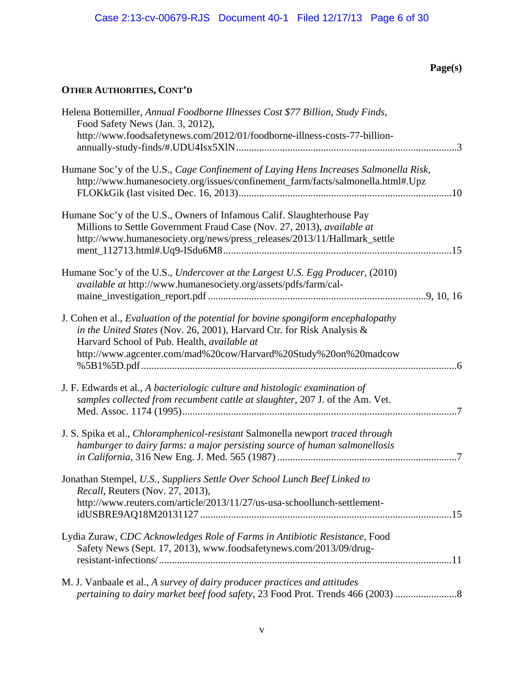| Helena Bottemiller, Annual Foodborne Illnesses Cost \$77 Billion, Study Finds,<br>Food Safety News (Jan. 3, 2012),<br>http://www.foodsafetynews.com/2012/01/foodborne-illness-costs-77-billion-                                                                               |
|-------------------------------------------------------------------------------------------------------------------------------------------------------------------------------------------------------------------------------------------------------------------------------|
| Humane Soc'y of the U.S., Cage Confinement of Laying Hens Increases Salmonella Risk,<br>http://www.humanesociety.org/issues/confinement_farm/facts/salmonella.html#.Upz                                                                                                       |
| Humane Soc'y of the U.S., Owners of Infamous Calif. Slaughterhouse Pay<br>Millions to Settle Government Fraud Case (Nov. 27, 2013), available at<br>http://www.humanesociety.org/news/press_releases/2013/11/Hallmark_settle                                                  |
| Humane Soc'y of the U.S., Undercover at the Largest U.S. Egg Producer, (2010)<br>available at http://www.humanesociety.org/assets/pdfs/farm/cal-                                                                                                                              |
| J. Cohen et al., Evaluation of the potential for bovine spongiform encephalopathy<br>in the United States (Nov. 26, 2001), Harvard Ctr. for Risk Analysis &<br>Harvard School of Pub. Health, available at<br>http://www.agcenter.com/mad%20cow/Harvard%20Study%20on%20madcow |
| J. F. Edwards et al., A bacteriologic culture and histologic examination of<br>samples collected from recumbent cattle at slaughter, 207 J. of the Am. Vet.<br>-7                                                                                                             |
| J. S. Spika et al., <i>Chloramphenicol-resistant</i> Salmonella newport <i>traced through</i><br>hamburger to dairy farms: a major persisting source of human salmonellosis                                                                                                   |
| Jonathan Stempel, U.S., Suppliers Settle Over School Lunch Beef Linked to<br>Recall, Reuters (Nov. 27, 2013),<br>http://www.reuters.com/article/2013/11/27/us-usa-schoollunch-settlement-                                                                                     |
| Lydia Zuraw, CDC Acknowledges Role of Farms in Antibiotic Resistance, Food<br>Safety News (Sept. 17, 2013), www.foodsafetynews.com/2013/09/drug-                                                                                                                              |
| M. J. Vanbaale et al., A survey of dairy producer practices and attitudes<br>pertaining to dairy market beef food safety, 23 Food Prot. Trends 466 (2003)                                                                                                                     |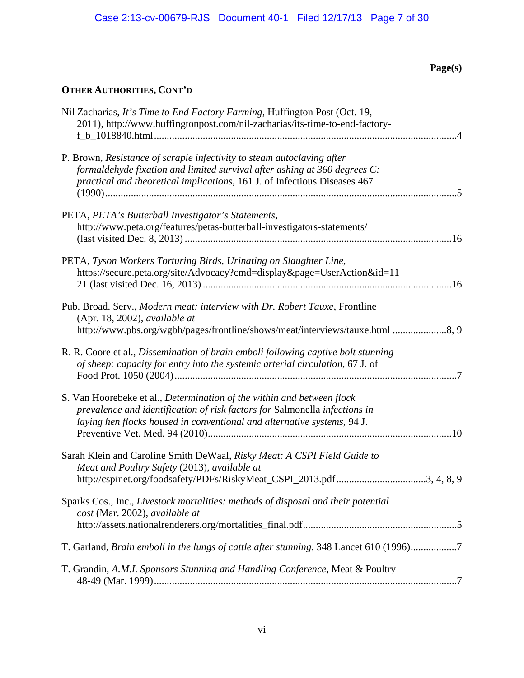| Nil Zacharias, It's Time to End Factory Farming, Huffington Post (Oct. 19,<br>2011), http://www.huffingtonpost.com/nil-zacharias/its-time-to-end-factory-                                                                        |
|----------------------------------------------------------------------------------------------------------------------------------------------------------------------------------------------------------------------------------|
| P. Brown, Resistance of scrapie infectivity to steam autoclaving after<br>formaldehyde fixation and limited survival after ashing at 360 degrees C:<br>practical and theoretical implications, 161 J. of Infectious Diseases 467 |
| PETA, PETA's Butterball Investigator's Statements,<br>http://www.peta.org/features/petas-butterball-investigators-statements/                                                                                                    |
| PETA, Tyson Workers Torturing Birds, Urinating on Slaughter Line,<br>https://secure.peta.org/site/Advocacy?cmd=display&page=UserAction&id=11                                                                                     |
| Pub. Broad. Serv., Modern meat: interview with Dr. Robert Tauxe, Frontline<br>(Apr. 18, 2002), available at<br>http://www.pbs.org/wgbh/pages/frontline/shows/meat/interviews/tauxe.html 8, 9                                     |
| R. R. Coore et al., Dissemination of brain emboli following captive bolt stunning<br>of sheep: capacity for entry into the systemic arterial circulation, 67 J. of                                                               |
| S. Van Hoorebeke et al., Determination of the within and between flock<br>prevalence and identification of risk factors for Salmonella infections in<br>laying hen flocks housed in conventional and alternative systems, 94 J.  |
| Sarah Klein and Caroline Smith DeWaal, Risky Meat: A CSPI Field Guide to<br>Meat and Poultry Safety (2013), available at<br>http://cspinet.org/foodsafety/PDFs/RiskyMeat_CSPI_2013.pdf3, 4, 8, 9                                 |
| Sparks Cos., Inc., Livestock mortalities: methods of disposal and their potential<br>cost (Mar. 2002), available at                                                                                                              |
| T. Garland, Brain emboli in the lungs of cattle after stunning, 348 Lancet 610 (1996)7                                                                                                                                           |
| T. Grandin, A.M.I. Sponsors Stunning and Handling Conference, Meat & Poultry                                                                                                                                                     |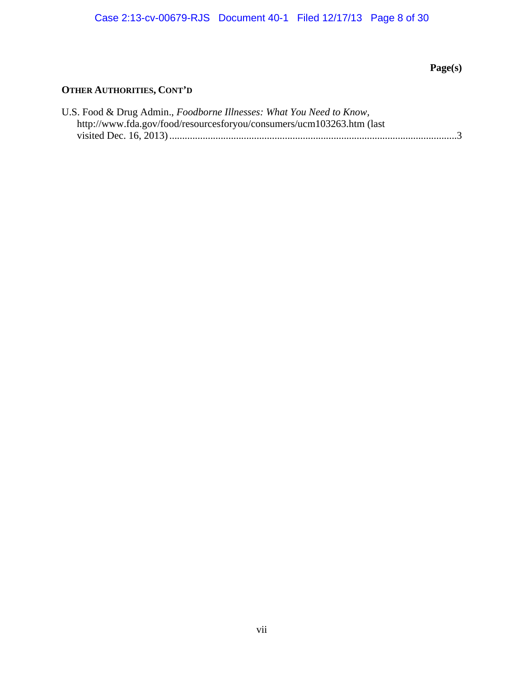# Case 2:13-cv-00679-RJS Document 40-1 Filed 12/17/13 Page 8 of 30

# **Page(s)**

| U.S. Food & Drug Admin., Foodborne Illnesses: What You Need to Know,  |  |
|-----------------------------------------------------------------------|--|
| http://www.fda.gov/food/resourcesforyou/consumers/ucm103263.htm (last |  |
|                                                                       |  |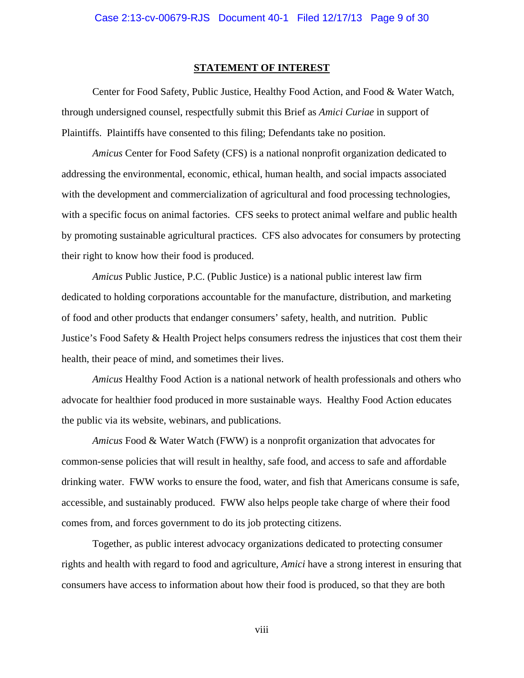#### **STATEMENT OF INTEREST**

 Center for Food Safety, Public Justice, Healthy Food Action, and Food & Water Watch, through undersigned counsel, respectfully submit this Brief as *Amici Curiae* in support of Plaintiffs. Plaintiffs have consented to this filing; Defendants take no position.

*Amicus* Center for Food Safety (CFS) is a national nonprofit organization dedicated to addressing the environmental, economic, ethical, human health, and social impacts associated with the development and commercialization of agricultural and food processing technologies, with a specific focus on animal factories. CFS seeks to protect animal welfare and public health by promoting sustainable agricultural practices. CFS also advocates for consumers by protecting their right to know how their food is produced.

*Amicus* Public Justice, P.C. (Public Justice) is a national public interest law firm dedicated to holding corporations accountable for the manufacture, distribution, and marketing of food and other products that endanger consumers' safety, health, and nutrition. Public Justice's Food Safety & Health Project helps consumers redress the injustices that cost them their health, their peace of mind, and sometimes their lives.

*Amicus* Healthy Food Action is a national network of health professionals and others who advocate for healthier food produced in more sustainable ways. Healthy Food Action educates the public via its website, webinars, and publications.

 *Amicus* Food & Water Watch (FWW) is a nonprofit organization that advocates for common-sense policies that will result in healthy, safe food, and access to safe and affordable drinking water. FWW works to ensure the food, water, and fish that Americans consume is safe, accessible, and sustainably produced. FWW also helps people take charge of where their food comes from, and forces government to do its job protecting citizens.

 Together, as public interest advocacy organizations dedicated to protecting consumer rights and health with regard to food and agriculture, *Amici* have a strong interest in ensuring that consumers have access to information about how their food is produced, so that they are both

viii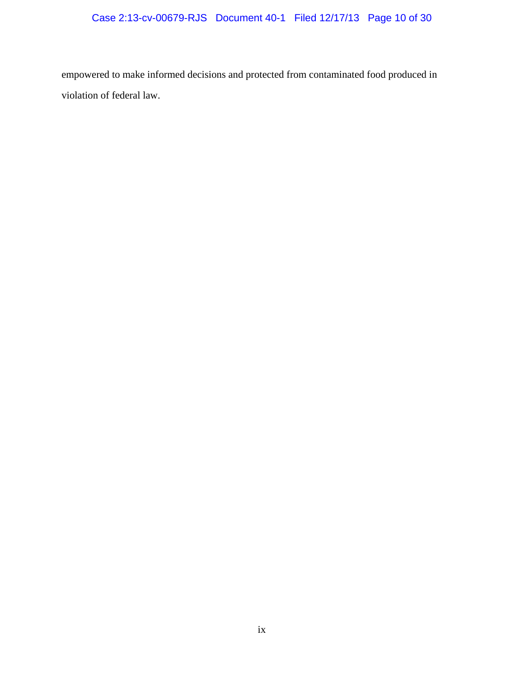empowered to make informed decisions and protected from contaminated food produced in violation of federal law.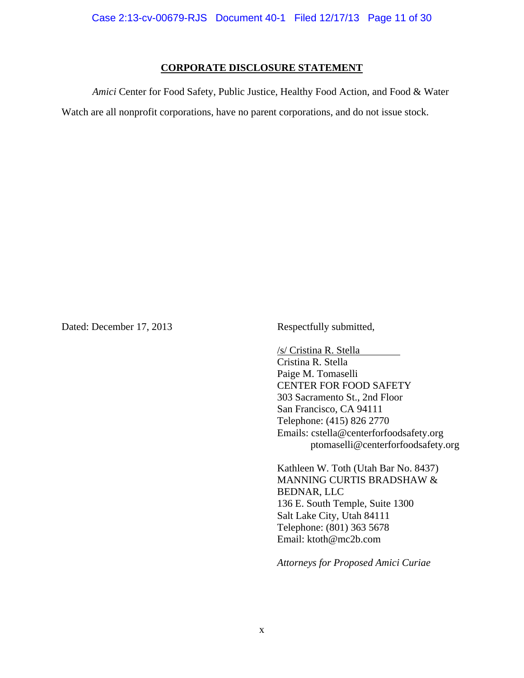#### **CORPORATE DISCLOSURE STATEMENT**

*Amici* Center for Food Safety, Public Justice, Healthy Food Action, and Food & Water Watch are all nonprofit corporations, have no parent corporations, and do not issue stock.

Dated: December 17, 2013 Respectfully submitted,

 /s/ Cristina R. Stella Cristina R. Stella Paige M. Tomaselli CENTER FOR FOOD SAFETY 303 Sacramento St., 2nd Floor San Francisco, CA 94111 Telephone: (415) 826 2770 Emails: cstella@centerforfoodsafety.org ptomaselli@centerforfoodsafety.org

Kathleen W. Toth (Utah Bar No. 8437) MANNING CURTIS BRADSHAW & BEDNAR, LLC 136 E. South Temple, Suite 1300 Salt Lake City, Utah 84111 Telephone: (801) 363 5678 Email: ktoth@mc2b.com

*Attorneys for Proposed Amici Curiae*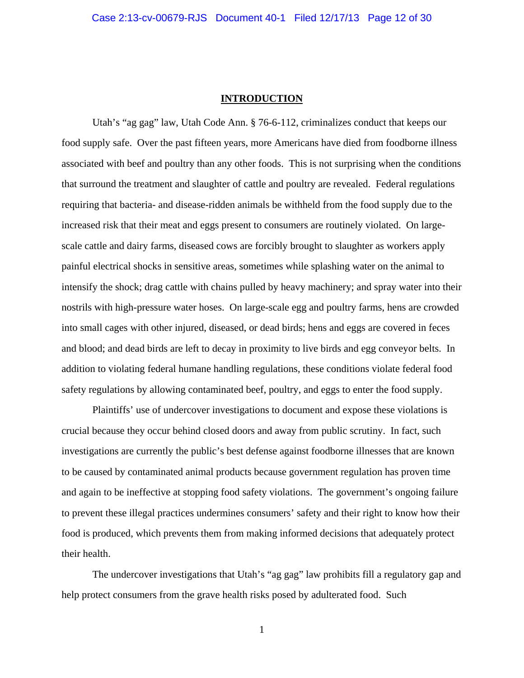#### **INTRODUCTION**

Utah's "ag gag" law, Utah Code Ann. § 76-6-112, criminalizes conduct that keeps our food supply safe. Over the past fifteen years, more Americans have died from foodborne illness associated with beef and poultry than any other foods. This is not surprising when the conditions that surround the treatment and slaughter of cattle and poultry are revealed. Federal regulations requiring that bacteria- and disease-ridden animals be withheld from the food supply due to the increased risk that their meat and eggs present to consumers are routinely violated. On largescale cattle and dairy farms, diseased cows are forcibly brought to slaughter as workers apply painful electrical shocks in sensitive areas, sometimes while splashing water on the animal to intensify the shock; drag cattle with chains pulled by heavy machinery; and spray water into their nostrils with high-pressure water hoses. On large-scale egg and poultry farms, hens are crowded into small cages with other injured, diseased, or dead birds; hens and eggs are covered in feces and blood; and dead birds are left to decay in proximity to live birds and egg conveyor belts. In addition to violating federal humane handling regulations, these conditions violate federal food safety regulations by allowing contaminated beef, poultry, and eggs to enter the food supply.

Plaintiffs' use of undercover investigations to document and expose these violations is crucial because they occur behind closed doors and away from public scrutiny. In fact, such investigations are currently the public's best defense against foodborne illnesses that are known to be caused by contaminated animal products because government regulation has proven time and again to be ineffective at stopping food safety violations. The government's ongoing failure to prevent these illegal practices undermines consumers' safety and their right to know how their food is produced, which prevents them from making informed decisions that adequately protect their health.

The undercover investigations that Utah's "ag gag" law prohibits fill a regulatory gap and help protect consumers from the grave health risks posed by adulterated food. Such

1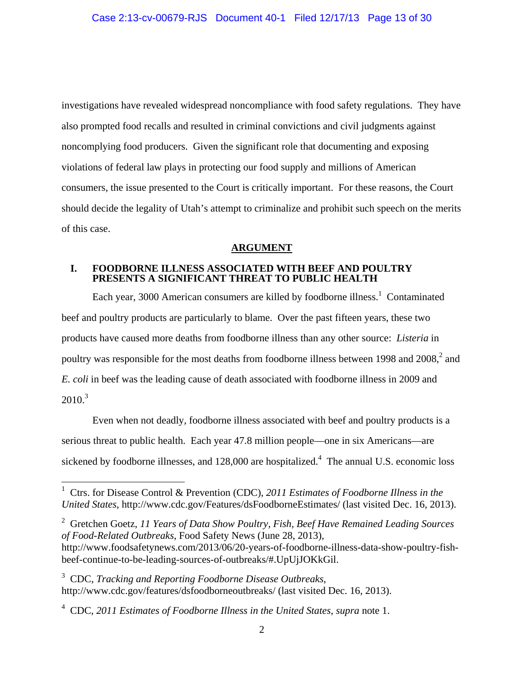investigations have revealed widespread noncompliance with food safety regulations. They have also prompted food recalls and resulted in criminal convictions and civil judgments against noncomplying food producers. Given the significant role that documenting and exposing violations of federal law plays in protecting our food supply and millions of American consumers, the issue presented to the Court is critically important. For these reasons, the Court should decide the legality of Utah's attempt to criminalize and prohibit such speech on the merits of this case.

### **ARGUMENT**

#### **I. FOODBORNE ILLNESS ASSOCIATED WITH BEEF AND POULTRY PRESENTS A SIGNIFICANT THREAT TO PUBLIC HEALTH**

Each year, 3000 American consumers are killed by foodborne illness.<sup>1</sup> Contaminated beef and poultry products are particularly to blame. Over the past fifteen years, these two products have caused more deaths from foodborne illness than any other source: *Listeria* in poultry was responsible for the most deaths from foodborne illness between 1998 and  $2008$ <sup>2</sup>, and *E. coli* in beef was the leading cause of death associated with foodborne illness in 2009 and  $2010.<sup>3</sup>$ 

Even when not deadly, foodborne illness associated with beef and poultry products is a serious threat to public health. Each year 47.8 million people—one in six Americans—are sickened by foodborne illnesses, and  $128,000$  are hospitalized.<sup>4</sup> The annual U.S. economic loss

<sup>2</sup> Gretchen Goetz, 11 Years of Data Show Poultry, Fish, Beef Have Remained Leading Sources *of Food-Related Outbreaks*, Food Safety News (June 28, 2013),

 1 Ctrs. for Disease Control & Prevention (CDC), *2011 Estimates of Foodborne Illness in the United States*, http://www.cdc.gov/Features/dsFoodborneEstimates/ (last visited Dec. 16, 2013).

http://www.foodsafetynews.com/2013/06/20-years-of-foodborne-illness-data-show-poultry-fishbeef-continue-to-be-leading-sources-of-outbreaks/#.UpUjJOKkGil.

<sup>3</sup> CDC, *Tracking and Reporting Foodborne Disease Outbreaks*, http://www.cdc.gov/features/dsfoodborneoutbreaks/ (last visited Dec. 16, 2013).

<sup>4</sup> CDC, *2011 Estimates of Foodborne Illness in the United States*, *supra* note 1.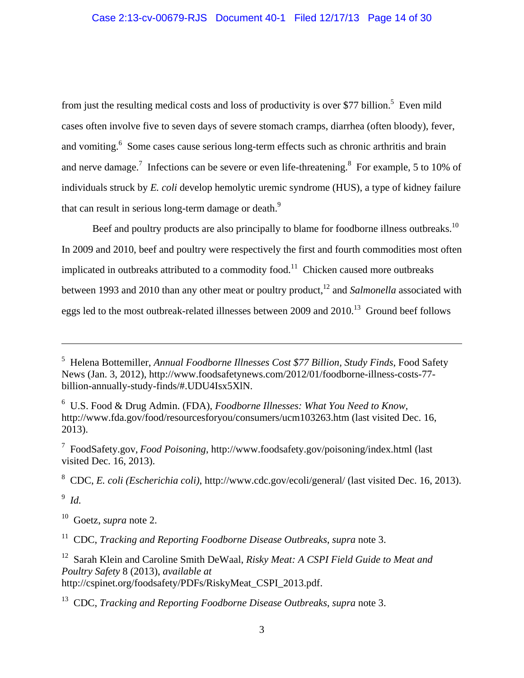from just the resulting medical costs and loss of productivity is over \$77 billion.<sup>5</sup> Even mild cases often involve five to seven days of severe stomach cramps, diarrhea (often bloody), fever, and vomiting.<sup>6</sup> Some cases cause serious long-term effects such as chronic arthritis and brain and nerve damage.<sup>7</sup> Infections can be severe or even life-threatening.<sup>8</sup> For example, 5 to 10% of individuals struck by *E. coli* develop hemolytic uremic syndrome (HUS), a type of kidney failure that can result in serious long-term damage or death. $9$ 

Beef and poultry products are also principally to blame for foodborne illness outbreaks.<sup>10</sup> In 2009 and 2010, beef and poultry were respectively the first and fourth commodities most often implicated in outbreaks attributed to a commodity food.<sup>11</sup> Chicken caused more outbreaks between 1993 and 2010 than any other meat or poultry product,<sup>12</sup> and *Salmonella* associated with eggs led to the most outbreak-related illnesses between 2009 and 2010.<sup>13</sup> Ground beef follows

6 U.S. Food & Drug Admin. (FDA), *Foodborne Illnesses: What You Need to Know,* http://www.fda.gov/food/resourcesforyou/consumers/ucm103263.htm (last visited Dec. 16, 2013).

7 FoodSafety.gov, *Food Poisoning*, http://www.foodsafety.gov/poisoning/index.html (last visited Dec. 16, 2013).

8 CDC, *E. coli (Escherichia coli)*, http://www.cdc.gov/ecoli/general/ (last visited Dec. 16, 2013).

9 *Id.* 

 $\overline{a}$ 

10 Goetz, *supra* note 2.

11 CDC, *Tracking and Reporting Foodborne Disease Outbreaks*, *supra* note 3.

12 Sarah Klein and Caroline Smith DeWaal, *Risky Meat: A CSPI Field Guide to Meat and Poultry Safety* 8 (2013), *available at* http://cspinet.org/foodsafety/PDFs/RiskyMeat\_CSPI\_2013.pdf.

<sup>5</sup> Helena Bottemiller, *Annual Foodborne Illnesses Cost \$77 Billion, Study Finds*, Food Safety News (Jan. 3, 2012), http://www.foodsafetynews.com/2012/01/foodborne-illness-costs-77 billion-annually-study-finds/#.UDU4Isx5XlN.

<sup>13</sup> CDC, *Tracking and Reporting Foodborne Disease Outbreaks*, *supra* note 3.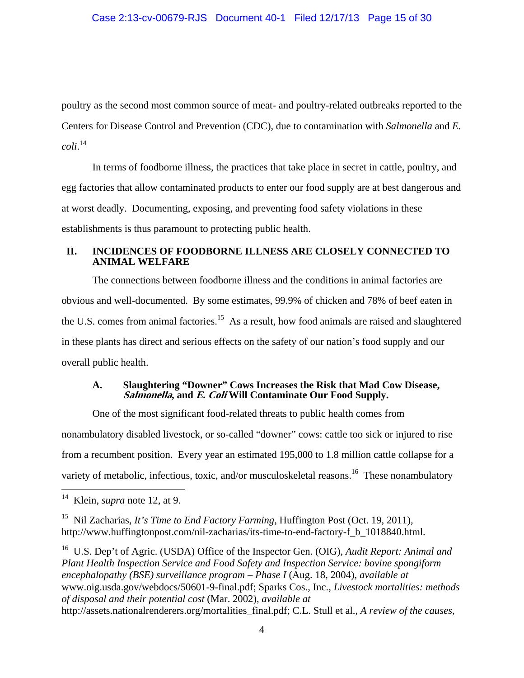poultry as the second most common source of meat- and poultry-related outbreaks reported to the Centers for Disease Control and Prevention (CDC), due to contamination with *Salmonella* and *E. coli*. 14

In terms of foodborne illness, the practices that take place in secret in cattle, poultry, and egg factories that allow contaminated products to enter our food supply are at best dangerous and at worst deadly. Documenting, exposing, and preventing food safety violations in these establishments is thus paramount to protecting public health.

### **II. INCIDENCES OF FOODBORNE ILLNESS ARE CLOSELY CONNECTED TO ANIMAL WELFARE**

The connections between foodborne illness and the conditions in animal factories are obvious and well-documented. By some estimates, 99.9% of chicken and 78% of beef eaten in the U.S. comes from animal factories.<sup>15</sup> As a result, how food animals are raised and slaughtered in these plants has direct and serious effects on the safety of our nation's food supply and our overall public health.

### **A. Slaughtering "Downer" Cows Increases the Risk that Mad Cow Disease, Salmonella, and E. Coli Will Contaminate Our Food Supply.**

One of the most significant food-related threats to public health comes from nonambulatory disabled livestock, or so-called "downer" cows: cattle too sick or injured to rise from a recumbent position. Every year an estimated 195,000 to 1.8 million cattle collapse for a variety of metabolic, infectious, toxic, and/or musculoskeletal reasons.<sup>16</sup> These nonambulatory  $\overline{a}$ 

16 U.S. Dep't of Agric. (USDA) Office of the Inspector Gen. (OIG), *Audit Report: Animal and Plant Health Inspection Service and Food Safety and Inspection Service: bovine spongiform encephalopathy (BSE) surveillance program – Phase I* (Aug. 18, 2004), *available at* www.oig.usda.gov/webdocs/50601-9-final.pdf; Sparks Cos., Inc., *Livestock mortalities: methods of disposal and their potential cost* (Mar. 2002), *available at*  http://assets.nationalrenderers.org/mortalities\_final.pdf; C.L. Stull et al., *A review of the causes,* 

<sup>14</sup> Klein, *supra* note 12, at 9.

<sup>15</sup> Nil Zacharias, *It's Time to End Factory Farming*, Huffington Post (Oct. 19, 2011), http://www.huffingtonpost.com/nil-zacharias/its-time-to-end-factory-f\_b\_1018840.html.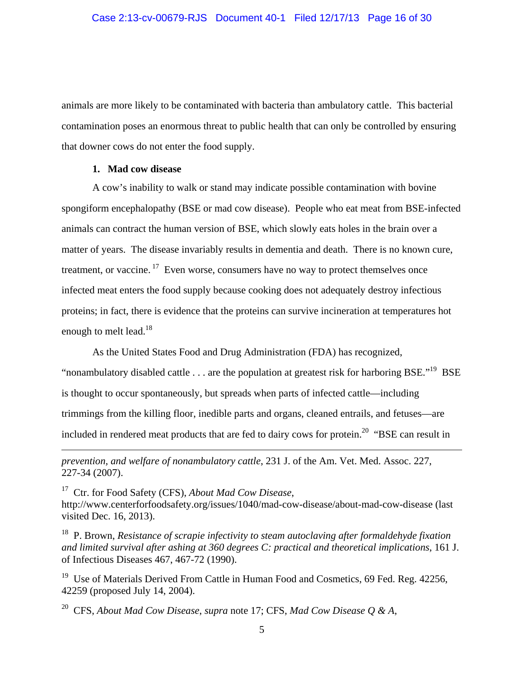animals are more likely to be contaminated with bacteria than ambulatory cattle. This bacterial contamination poses an enormous threat to public health that can only be controlled by ensuring that downer cows do not enter the food supply.

### **1. Mad cow disease**

 $\overline{a}$ 

A cow's inability to walk or stand may indicate possible contamination with bovine spongiform encephalopathy (BSE or mad cow disease). People who eat meat from BSE-infected animals can contract the human version of BSE, which slowly eats holes in the brain over a matter of years. The disease invariably results in dementia and death. There is no known cure, treatment, or vaccine.<sup>17</sup> Even worse, consumers have no way to protect themselves once infected meat enters the food supply because cooking does not adequately destroy infectious proteins; in fact, there is evidence that the proteins can survive incineration at temperatures hot enough to melt lead.<sup>18</sup>

As the United States Food and Drug Administration (FDA) has recognized, "nonambulatory disabled cattle . . . are the population at greatest risk for harboring BSE."<sup>19</sup> BSE is thought to occur spontaneously, but spreads when parts of infected cattle—including trimmings from the killing floor, inedible parts and organs, cleaned entrails, and fetuses—are included in rendered meat products that are fed to dairy cows for protein.<sup>20</sup> "BSE can result in

*prevention, and welfare of nonambulatory cattle*, 231 J. of the Am. Vet. Med. Assoc. 227, 227-34 (2007).

17 Ctr. for Food Safety (CFS), *About Mad Cow Disease*, http://www.centerforfoodsafety.org/issues/1040/mad-cow-disease/about-mad-cow-disease (last visited Dec. 16, 2013).

18 P. Brown, *Resistance of scrapie infectivity to steam autoclaving after formaldehyde fixation and limited survival after ashing at 360 degrees C: practical and theoretical implications*, 161 J. of Infectious Diseases 467, 467-72 (1990).

<sup>19</sup> Use of Materials Derived From Cattle in Human Food and Cosmetics, 69 Fed. Reg. 42256, 42259 (proposed July 14, 2004).

20 CFS, *About Mad Cow Disease*, *supra* note 17; CFS, *Mad Cow Disease Q & A*,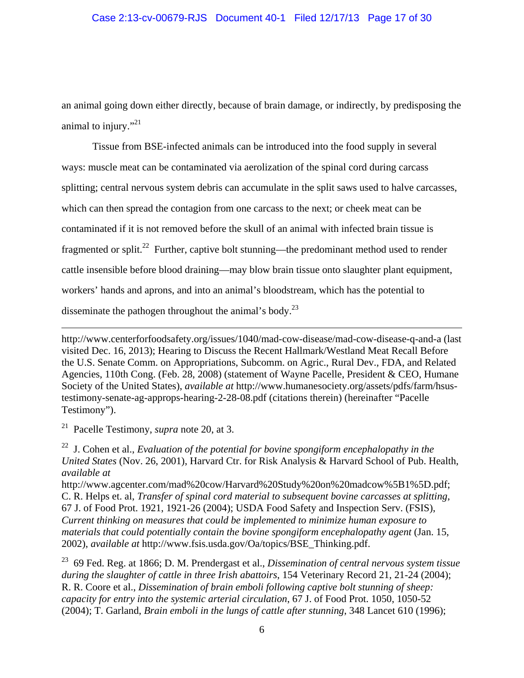an animal going down either directly, because of brain damage, or indirectly, by predisposing the animal to injury."<sup>21</sup>

Tissue from BSE-infected animals can be introduced into the food supply in several ways: muscle meat can be contaminated via aerolization of the spinal cord during carcass splitting; central nervous system debris can accumulate in the split saws used to halve carcasses, which can then spread the contagion from one carcass to the next; or cheek meat can be contaminated if it is not removed before the skull of an animal with infected brain tissue is fragmented or split.<sup>22</sup> Further, captive bolt stunning—the predominant method used to render cattle insensible before blood draining—may blow brain tissue onto slaughter plant equipment, workers' hands and aprons, and into an animal's bloodstream, which has the potential to disseminate the pathogen throughout the animal's body.<sup>23</sup>

http://www.centerforfoodsafety.org/issues/1040/mad-cow-disease/mad-cow-disease-q-and-a (last visited Dec. 16, 2013); Hearing to Discuss the Recent Hallmark/Westland Meat Recall Before the U.S. Senate Comm. on Appropriations, Subcomm. on Agric., Rural Dev., FDA, and Related Agencies, 110th Cong. (Feb. 28, 2008) (statement of Wayne Pacelle, President & CEO, Humane Society of the United States), *available at* http://www.humanesociety.org/assets/pdfs/farm/hsustestimony-senate-ag-approps-hearing-2-28-08.pdf (citations therein) (hereinafter "Pacelle Testimony").

21 Pacelle Testimony, *supra* note 20, at 3.

 $\overline{a}$ 

<sup>22</sup> J. Cohen et al., *Evaluation of the potential for bovine spongiform encephalopathy in the United States* (Nov. 26, 2001), Harvard Ctr. for Risk Analysis & Harvard School of Pub. Health, *available at* 

http://www.agcenter.com/mad%20cow/Harvard%20Study%20on%20madcow%5B1%5D.pdf; C. R. Helps et. al, *Transfer of spinal cord material to subsequent bovine carcasses at splitting*, 67 J. of Food Prot. 1921, 1921-26 (2004); USDA Food Safety and Inspection Serv. (FSIS), *Current thinking on measures that could be implemented to minimize human exposure to materials that could potentially contain the bovine spongiform encephalopathy agent* (Jan. 15, 2002), *available at* http://www.fsis.usda.gov/Oa/topics/BSE\_Thinking.pdf.

23 69 Fed. Reg. at 1866; D. M. Prendergast et al., *Dissemination of central nervous system tissue during the slaughter of cattle in three Irish abattoirs*, 154 Veterinary Record 21, 21-24 (2004); R. R. Coore et al., *Dissemination of brain emboli following captive bolt stunning of sheep: capacity for entry into the systemic arterial circulation*, 67 J. of Food Prot. 1050, 1050-52 (2004); T. Garland, *Brain emboli in the lungs of cattle after stunning*, 348 Lancet 610 (1996);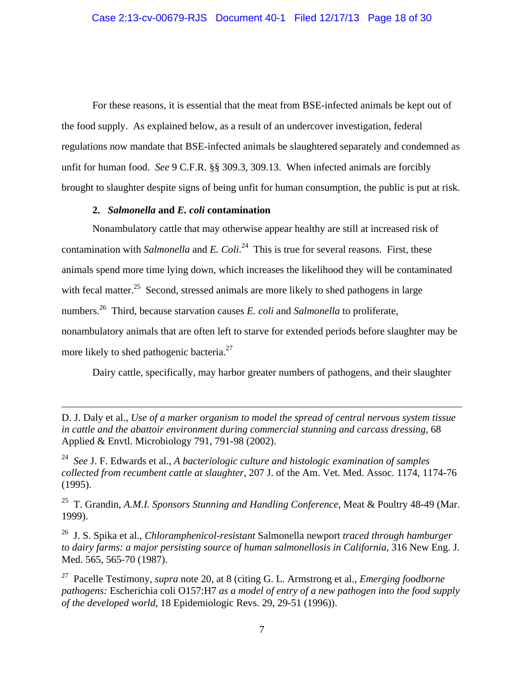For these reasons, it is essential that the meat from BSE-infected animals be kept out of the food supply. As explained below, as a result of an undercover investigation, federal regulations now mandate that BSE-infected animals be slaughtered separately and condemned as unfit for human food. *See* 9 C.F.R. §§ 309.3, 309.13. When infected animals are forcibly brought to slaughter despite signs of being unfit for human consumption, the public is put at risk.

### **2.** *Salmonella* **and** *E. coli* **contamination**

<u>.</u>

Nonambulatory cattle that may otherwise appear healthy are still at increased risk of contamination with *Salmonella* and *E. Coli*. 24 This is true for several reasons. First, these animals spend more time lying down, which increases the likelihood they will be contaminated with fecal matter.<sup>25</sup> Second, stressed animals are more likely to shed pathogens in large numbers.26 Third, because starvation causes *E. coli* and *Salmonella* to proliferate, nonambulatory animals that are often left to starve for extended periods before slaughter may be more likely to shed pathogenic bacteria.<sup>27</sup>

Dairy cattle, specifically, may harbor greater numbers of pathogens, and their slaughter

25 T. Grandin, *A.M.I. Sponsors Stunning and Handling Conference*, Meat & Poultry 48-49 (Mar. 1999).

26 J. S. Spika et al., *Chloramphenicol-resistant* Salmonella newport *traced through hamburger to dairy farms: a major persisting source of human salmonellosis in California*, 316 New Eng. J. Med. 565, 565-70 (1987).

27 Pacelle Testimony, *supra* note 20, at 8 (citing G. L. Armstrong et al., *Emerging foodborne pathogens:* Escherichia coli O157:H7 *as a model of entry of a new pathogen into the food supply of the developed world*, 18 Epidemiologic Revs. 29, 29-51 (1996)).

D. J. Daly et al., *Use of a marker organism to model the spread of central nervous system tissue in cattle and the abattoir environment during commercial stunning and carcass dressing*, 68 Applied & Envtl. Microbiology 791, 791-98 (2002).

<sup>24</sup> *See* J. F. Edwards et al., *A bacteriologic culture and histologic examination of samples collected from recumbent cattle at slaughter*, 207 J. of the Am. Vet. Med. Assoc. 1174, 1174-76 (1995).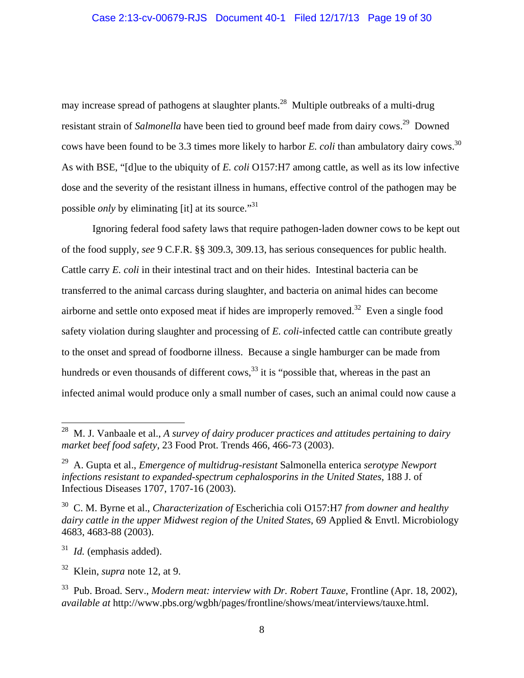may increase spread of pathogens at slaughter plants.<sup>28</sup> Multiple outbreaks of a multi-drug resistant strain of *Salmonella* have been tied to ground beef made from dairy cows.<sup>29</sup> Downed cows have been found to be 3.3 times more likely to harbor *E. coli* than ambulatory dairy cows.<sup>30</sup> As with BSE, "[d]ue to the ubiquity of *E. coli* O157:H7 among cattle, as well as its low infective dose and the severity of the resistant illness in humans, effective control of the pathogen may be possible *only* by eliminating [it] at its source."<sup>31</sup>

Ignoring federal food safety laws that require pathogen-laden downer cows to be kept out of the food supply, *see* 9 C.F.R. §§ 309.3, 309.13, has serious consequences for public health. Cattle carry *E. coli* in their intestinal tract and on their hides. Intestinal bacteria can be transferred to the animal carcass during slaughter, and bacteria on animal hides can become airborne and settle onto exposed meat if hides are improperly removed.32 Even a single food safety violation during slaughter and processing of *E. coli*-infected cattle can contribute greatly to the onset and spread of foodborne illness. Because a single hamburger can be made from hundreds or even thousands of different  $\cos$ ,<sup>33</sup> it is "possible that, whereas in the past an infected animal would produce only a small number of cases, such an animal could now cause a

31 *Id.* (emphasis added).

<u>.</u>

<sup>28</sup> M. J. Vanbaale et al., *A survey of dairy producer practices and attitudes pertaining to dairy market beef food safety*, 23 Food Prot. Trends 466, 466-73 (2003).

<sup>29</sup> A. Gupta et al., *Emergence of multidrug-resistant* Salmonella enterica *serotype Newport infections resistant to expanded-spectrum cephalosporins in the United States*, 188 J. of Infectious Diseases 1707, 1707-16 (2003).

<sup>30</sup> C. M. Byrne et al., *Characterization of* Escherichia coli O157:H7 *from downer and healthy dairy cattle in the upper Midwest region of the United States*, 69 Applied & Envtl. Microbiology 4683, 4683-88 (2003).

<sup>32</sup> Klein, *supra* note 12, at 9.

<sup>33</sup> Pub. Broad. Serv., *Modern meat: interview with Dr. Robert Tauxe*, Frontline (Apr. 18, 2002), *available at* http://www.pbs.org/wgbh/pages/frontline/shows/meat/interviews/tauxe.html.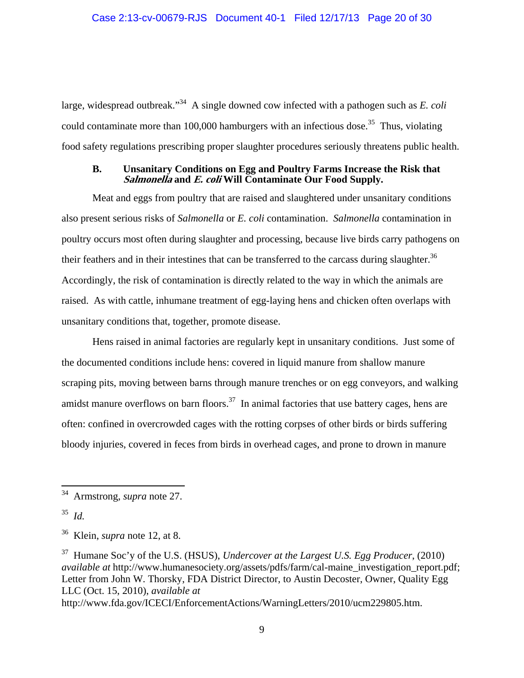large, widespread outbreak."34 A single downed cow infected with a pathogen such as *E. coli*  could contaminate more than 100,000 hamburgers with an infectious dose.<sup>35</sup> Thus, violating food safety regulations prescribing proper slaughter procedures seriously threatens public health.

#### **B. Unsanitary Conditions on Egg and Poultry Farms Increase the Risk that Salmonella and E. coli Will Contaminate Our Food Supply.**

Meat and eggs from poultry that are raised and slaughtered under unsanitary conditions also present serious risks of *Salmonella* or *E. coli* contamination. *Salmonella* contamination in poultry occurs most often during slaughter and processing, because live birds carry pathogens on their feathers and in their intestines that can be transferred to the carcass during slaughter.<sup>36</sup> Accordingly, the risk of contamination is directly related to the way in which the animals are raised. As with cattle, inhumane treatment of egg-laying hens and chicken often overlaps with unsanitary conditions that, together, promote disease.

Hens raised in animal factories are regularly kept in unsanitary conditions. Just some of the documented conditions include hens: covered in liquid manure from shallow manure scraping pits, moving between barns through manure trenches or on egg conveyors, and walking amidst manure overflows on barn floors.<sup>37</sup> In animal factories that use battery cages, hens are often: confined in overcrowded cages with the rotting corpses of other birds or birds suffering bloody injuries, covered in feces from birds in overhead cages, and prone to drown in manure

 $\overline{a}$ 

37 Humane Soc'y of the U.S. (HSUS), *Undercover at the Largest U.S. Egg Producer*, (2010) *available at http://www.humanesociety.org/assets/pdfs/farm/cal-maine investigation report.pdf;* Letter from John W. Thorsky, FDA District Director, to Austin Decoster, Owner, Quality Egg LLC (Oct. 15, 2010), *available at* 

http://www.fda.gov/ICECI/EnforcementActions/WarningLetters/2010/ucm229805.htm.

<sup>34</sup> Armstrong, *supra* note 27.

<sup>35</sup> *Id.* 

<sup>36</sup> Klein, *supra* note 12, at 8.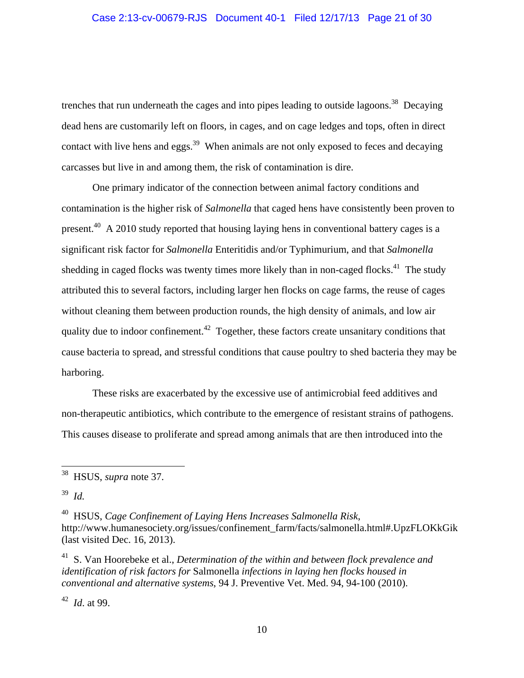trenches that run underneath the cages and into pipes leading to outside lagoons.<sup>38</sup> Decaying dead hens are customarily left on floors, in cages, and on cage ledges and tops, often in direct contact with live hens and eggs. $39$  When animals are not only exposed to feces and decaying carcasses but live in and among them, the risk of contamination is dire.

One primary indicator of the connection between animal factory conditions and contamination is the higher risk of *Salmonella* that caged hens have consistently been proven to present.<sup>40</sup> A 2010 study reported that housing laying hens in conventional battery cages is a significant risk factor for *Salmonella* Enteritidis and/or Typhimurium, and that *Salmonella*  shedding in caged flocks was twenty times more likely than in non-caged flocks.<sup>41</sup> The study attributed this to several factors, including larger hen flocks on cage farms, the reuse of cages without cleaning them between production rounds, the high density of animals, and low air quality due to indoor confinement.<sup>42</sup> Together, these factors create unsanitary conditions that cause bacteria to spread, and stressful conditions that cause poultry to shed bacteria they may be harboring.

These risks are exacerbated by the excessive use of antimicrobial feed additives and non-therapeutic antibiotics, which contribute to the emergence of resistant strains of pathogens. This causes disease to proliferate and spread among animals that are then introduced into the

 $\overline{a}$ 

40 HSUS, *Cage Confinement of Laying Hens Increases Salmonella Risk*, http://www.humanesociety.org/issues/confinement\_farm/facts/salmonella.html#.UpzFLOKkGik (last visited Dec. 16, 2013).

41 S. Van Hoorebeke et al., *Determination of the within and between flock prevalence and identification of risk factors for* Salmonella *infections in laying hen flocks housed in conventional and alternative systems*, 94 J. Preventive Vet. Med. 94, 94-100 (2010).

42 *Id*. at 99.

<sup>38</sup> HSUS, *supra* note 37.

<sup>39</sup> *Id.*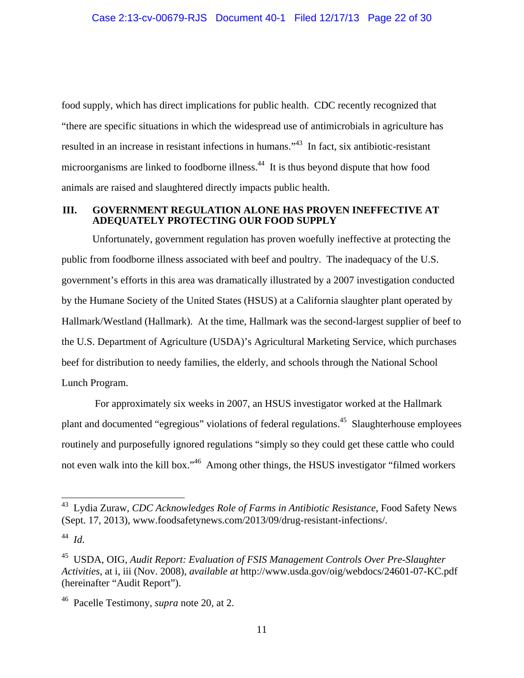food supply, which has direct implications for public health. CDC recently recognized that "there are specific situations in which the widespread use of antimicrobials in agriculture has resulted in an increase in resistant infections in humans."43 In fact, six antibiotic-resistant microorganisms are linked to foodborne illness.44 It is thus beyond dispute that how food animals are raised and slaughtered directly impacts public health.

#### **III. GOVERNMENT REGULATION ALONE HAS PROVEN INEFFECTIVE AT ADEQUATELY PROTECTING OUR FOOD SUPPLY**

Unfortunately, government regulation has proven woefully ineffective at protecting the public from foodborne illness associated with beef and poultry. The inadequacy of the U.S. government's efforts in this area was dramatically illustrated by a 2007 investigation conducted by the Humane Society of the United States (HSUS) at a California slaughter plant operated by Hallmark/Westland (Hallmark). At the time, Hallmark was the second-largest supplier of beef to the U.S. Department of Agriculture (USDA)'s Agricultural Marketing Service, which purchases beef for distribution to needy families, the elderly, and schools through the National School Lunch Program.

 For approximately six weeks in 2007, an HSUS investigator worked at the Hallmark plant and documented "egregious" violations of federal regulations.<sup>45</sup> Slaughterhouse employees routinely and purposefully ignored regulations "simply so they could get these cattle who could not even walk into the kill box."<sup>46</sup> Among other things, the HSUS investigator "filmed workers"

 $\overline{a}$ 

<sup>43</sup> Lydia Zuraw, *CDC Acknowledges Role of Farms in Antibiotic Resistance*, Food Safety News (Sept. 17, 2013), www.foodsafetynews.com/2013/09/drug-resistant-infections/.

<sup>44</sup> *Id*.

<sup>45</sup> USDA, OIG, *Audit Report: Evaluation of FSIS Management Controls Over Pre-Slaughter Activities*, at i, iii (Nov. 2008), *available at* http://www.usda.gov/oig/webdocs/24601-07-KC.pdf (hereinafter "Audit Report").

<sup>46</sup> Pacelle Testimony, *supra* note 20, at 2.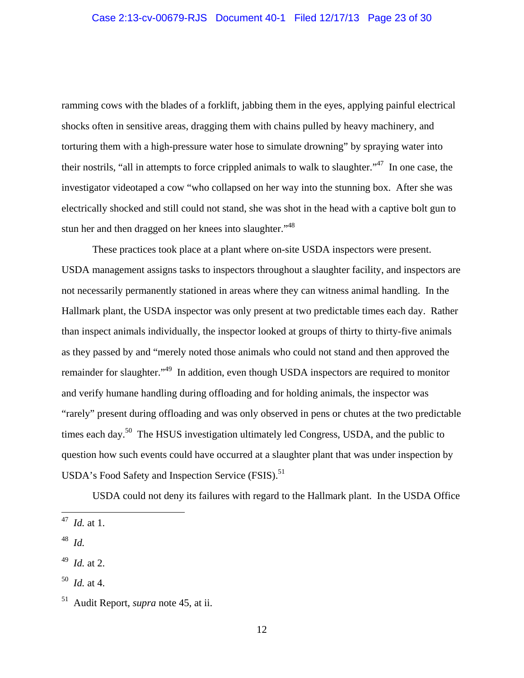ramming cows with the blades of a forklift, jabbing them in the eyes, applying painful electrical shocks often in sensitive areas, dragging them with chains pulled by heavy machinery, and torturing them with a high-pressure water hose to simulate drowning" by spraying water into their nostrils, "all in attempts to force crippled animals to walk to slaughter."<sup>47</sup> In one case, the investigator videotaped a cow "who collapsed on her way into the stunning box. After she was electrically shocked and still could not stand, she was shot in the head with a captive bolt gun to stun her and then dragged on her knees into slaughter."<sup>48</sup>

These practices took place at a plant where on-site USDA inspectors were present. USDA management assigns tasks to inspectors throughout a slaughter facility, and inspectors are not necessarily permanently stationed in areas where they can witness animal handling. In the Hallmark plant, the USDA inspector was only present at two predictable times each day. Rather than inspect animals individually, the inspector looked at groups of thirty to thirty-five animals as they passed by and "merely noted those animals who could not stand and then approved the remainder for slaughter.<sup>"49</sup> In addition, even though USDA inspectors are required to monitor and verify humane handling during offloading and for holding animals, the inspector was "rarely" present during offloading and was only observed in pens or chutes at the two predictable times each day.<sup>50</sup> The HSUS investigation ultimately led Congress, USDA, and the public to question how such events could have occurred at a slaughter plant that was under inspection by USDA's Food Safety and Inspection Service (FSIS).<sup>51</sup>

USDA could not deny its failures with regard to the Hallmark plant. In the USDA Office

 $\overline{a}$ 

<sup>47</sup> *Id.* at 1.

<sup>48</sup> *Id.* 

<sup>49</sup> *Id.* at 2.

 $50$  *Id.* at 4.

<sup>51</sup> Audit Report, *supra* note 45, at ii.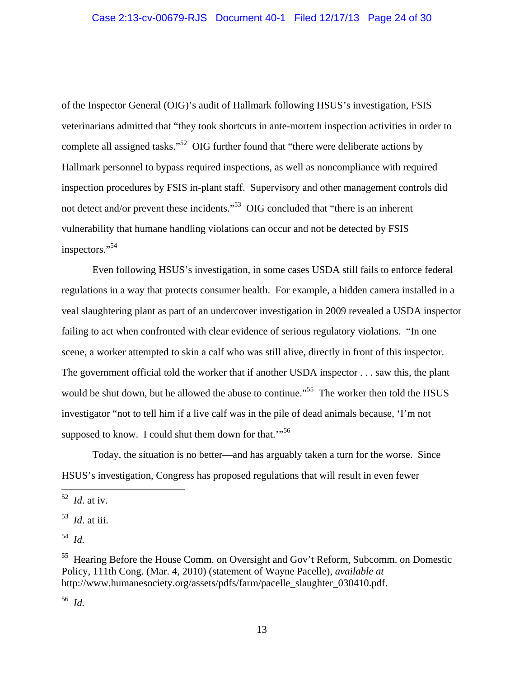of the Inspector General (OIG)'s audit of Hallmark following HSUS's investigation, FSIS veterinarians admitted that "they took shortcuts in ante-mortem inspection activities in order to complete all assigned tasks."52 OIG further found that "there were deliberate actions by Hallmark personnel to bypass required inspections, as well as noncompliance with required inspection procedures by FSIS in-plant staff. Supervisory and other management controls did not detect and/or prevent these incidents."<sup>53</sup> OIG concluded that "there is an inherent vulnerability that humane handling violations can occur and not be detected by FSIS inspectors."<sup>54</sup>

Even following HSUS's investigation, in some cases USDA still fails to enforce federal regulations in a way that protects consumer health. For example, a hidden camera installed in a veal slaughtering plant as part of an undercover investigation in 2009 revealed a USDA inspector failing to act when confronted with clear evidence of serious regulatory violations. "In one scene, a worker attempted to skin a calf who was still alive, directly in front of this inspector. The government official told the worker that if another USDA inspector . . . saw this, the plant would be shut down, but he allowed the abuse to continue."<sup>55</sup> The worker then told the HSUS investigator "not to tell him if a live calf was in the pile of dead animals because, 'I'm not supposed to know. I could shut them down for that."<sup>56</sup>

Today, the situation is no better—and has arguably taken a turn for the worse. Since HSUS's investigation, Congress has proposed regulations that will result in even fewer

1

56 *Id.*

<sup>52</sup> *Id*. at iv.

<sup>53</sup> *Id*. at iii.

<sup>54</sup> *Id.* 

<sup>&</sup>lt;sup>55</sup> Hearing Before the House Comm. on Oversight and Gov't Reform, Subcomm. on Domestic Policy, 111th Cong. (Mar. 4, 2010) (statement of Wayne Pacelle), *available at* http://www.humanesociety.org/assets/pdfs/farm/pacelle\_slaughter\_030410.pdf.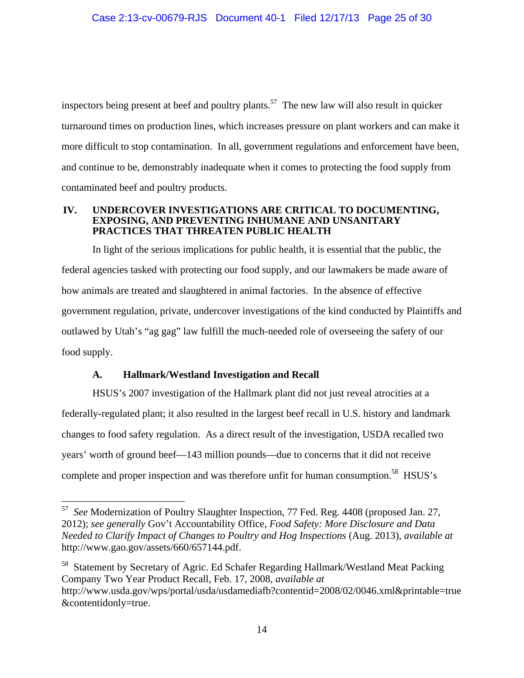inspectors being present at beef and poultry plants.<sup>57</sup> The new law will also result in quicker turnaround times on production lines, which increases pressure on plant workers and can make it more difficult to stop contamination. In all, government regulations and enforcement have been, and continue to be, demonstrably inadequate when it comes to protecting the food supply from contaminated beef and poultry products.

#### **IV. UNDERCOVER INVESTIGATIONS ARE CRITICAL TO DOCUMENTING, EXPOSING, AND PREVENTING INHUMANE AND UNSANITARY PRACTICES THAT THREATEN PUBLIC HEALTH**

In light of the serious implications for public health, it is essential that the public, the federal agencies tasked with protecting our food supply, and our lawmakers be made aware of how animals are treated and slaughtered in animal factories. In the absence of effective government regulation, private, undercover investigations of the kind conducted by Plaintiffs and outlawed by Utah's "ag gag" law fulfill the much-needed role of overseeing the safety of our food supply.

### **A. Hallmark/Westland Investigation and Recall**

 $\overline{a}$ 

HSUS's 2007 investigation of the Hallmark plant did not just reveal atrocities at a federally-regulated plant; it also resulted in the largest beef recall in U.S. history and landmark changes to food safety regulation. As a direct result of the investigation, USDA recalled two years' worth of ground beef—143 million pounds—due to concerns that it did not receive complete and proper inspection and was therefore unfit for human consumption.<sup>58</sup> HSUS's

<sup>57</sup> *See* Modernization of Poultry Slaughter Inspection, 77 Fed. Reg. 4408 (proposed Jan. 27, 2012); *see generally* Gov't Accountability Office, *Food Safety: More Disclosure and Data Needed to Clarify Impact of Changes to Poultry and Hog Inspections* (Aug. 2013), *available at*  http://www.gao.gov/assets/660/657144.pdf.

<sup>&</sup>lt;sup>58</sup> Statement by Secretary of Agric. Ed Schafer Regarding Hallmark/Westland Meat Packing Company Two Year Product Recall, Feb. 17, 2008, *available at*  http://www.usda.gov/wps/portal/usda/usdamediafb?contentid=2008/02/0046.xml&printable=true &contentidonly=true.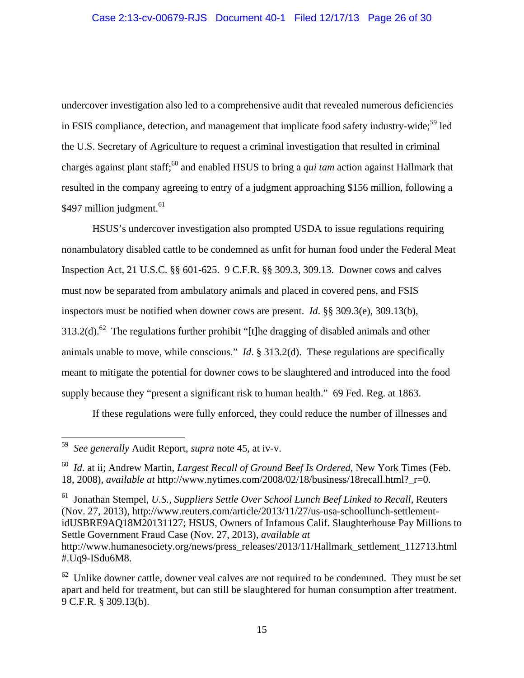undercover investigation also led to a comprehensive audit that revealed numerous deficiencies in FSIS compliance, detection, and management that implicate food safety industry-wide;<sup>59</sup> led the U.S. Secretary of Agriculture to request a criminal investigation that resulted in criminal charges against plant staff;60 and enabled HSUS to bring a *qui tam* action against Hallmark that resulted in the company agreeing to entry of a judgment approaching \$156 million, following a \$497 million judgment. $61$ 

HSUS's undercover investigation also prompted USDA to issue regulations requiring nonambulatory disabled cattle to be condemned as unfit for human food under the Federal Meat Inspection Act, 21 U.S.C. §§ 601-625. 9 C.F.R. §§ 309.3, 309.13. Downer cows and calves must now be separated from ambulatory animals and placed in covered pens, and FSIS inspectors must be notified when downer cows are present. *Id*. §§ 309.3(e), 309.13(b), 313.2(d).<sup>62</sup> The regulations further prohibit "[t]he dragging of disabled animals and other animals unable to move, while conscious." *Id*. § 313.2(d). These regulations are specifically meant to mitigate the potential for downer cows to be slaughtered and introduced into the food supply because they "present a significant risk to human health." 69 Fed. Reg. at 1863.

If these regulations were fully enforced, they could reduce the number of illnesses and

 $\overline{a}$ 

61 Jonathan Stempel, *U.S., Suppliers Settle Over School Lunch Beef Linked to Recall*, Reuters (Nov. 27, 2013), http://www.reuters.com/article/2013/11/27/us-usa-schoollunch-settlementidUSBRE9AQ18M20131127; HSUS, Owners of Infamous Calif. Slaughterhouse Pay Millions to Settle Government Fraud Case (Nov. 27, 2013), *available at*  http://www.humanesociety.org/news/press\_releases/2013/11/Hallmark\_settlement\_112713.html #.Uq9-ISdu6M8.

<sup>59</sup> *See generally* Audit Report, *supra* note 45, at iv-v.

<sup>60</sup> *Id*. at ii; Andrew Martin, *Largest Recall of Ground Beef Is Ordered*, New York Times (Feb. 18, 2008), *available at* http://www.nytimes.com/2008/02/18/business/18recall.html?\_r=0.

 $62$  Unlike downer cattle, downer veal calves are not required to be condemned. They must be set apart and held for treatment, but can still be slaughtered for human consumption after treatment. 9 C.F.R. § 309.13(b).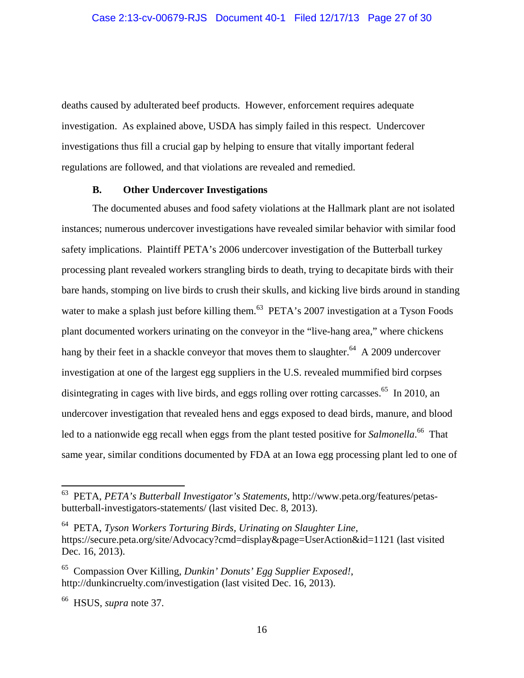deaths caused by adulterated beef products. However, enforcement requires adequate investigation. As explained above, USDA has simply failed in this respect. Undercover investigations thus fill a crucial gap by helping to ensure that vitally important federal regulations are followed, and that violations are revealed and remedied.

### **B. Other Undercover Investigations**

The documented abuses and food safety violations at the Hallmark plant are not isolated instances; numerous undercover investigations have revealed similar behavior with similar food safety implications. Plaintiff PETA's 2006 undercover investigation of the Butterball turkey processing plant revealed workers strangling birds to death, trying to decapitate birds with their bare hands, stomping on live birds to crush their skulls, and kicking live birds around in standing water to make a splash just before killing them.<sup>63</sup> PETA's 2007 investigation at a Tyson Foods plant documented workers urinating on the conveyor in the "live-hang area," where chickens hang by their feet in a shackle conveyor that moves them to slaughter.<sup>64</sup> A 2009 undercover investigation at one of the largest egg suppliers in the U.S. revealed mummified bird corpses disintegrating in cages with live birds, and eggs rolling over rotting carcasses.<sup>65</sup> In 2010, an undercover investigation that revealed hens and eggs exposed to dead birds, manure, and blood led to a nationwide egg recall when eggs from the plant tested positive for *Salmonella*. 66 That same year, similar conditions documented by FDA at an Iowa egg processing plant led to one of

1

<sup>63</sup> PETA, *PETA's Butterball Investigator's Statements*, http://www.peta.org/features/petasbutterball-investigators-statements/ (last visited Dec. 8, 2013).

<sup>64</sup> PETA, *Tyson Workers Torturing Birds, Urinating on Slaughter Line,*  https://secure.peta.org/site/Advocacy?cmd=display&page=UserAction&id=1121 (last visited Dec. 16, 2013).

<sup>65</sup> Compassion Over Killing, *Dunkin' Donuts' Egg Supplier Exposed!*, http://dunkincruelty.com/investigation (last visited Dec. 16, 2013).

<sup>66</sup> HSUS, *supra* note 37.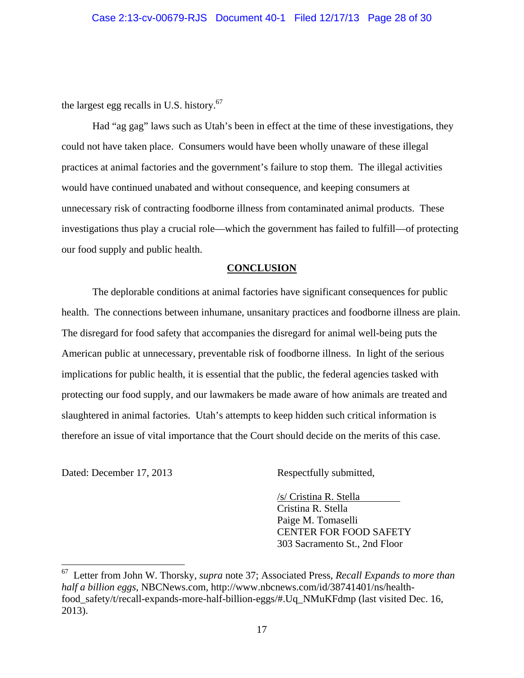the largest egg recalls in U.S. history. $67$ 

Had "ag gag" laws such as Utah's been in effect at the time of these investigations, they could not have taken place. Consumers would have been wholly unaware of these illegal practices at animal factories and the government's failure to stop them. The illegal activities would have continued unabated and without consequence, and keeping consumers at unnecessary risk of contracting foodborne illness from contaminated animal products. These investigations thus play a crucial role—which the government has failed to fulfill—of protecting our food supply and public health.

#### **CONCLUSION**

 The deplorable conditions at animal factories have significant consequences for public health. The connections between inhumane, unsanitary practices and foodborne illness are plain. The disregard for food safety that accompanies the disregard for animal well-being puts the American public at unnecessary, preventable risk of foodborne illness. In light of the serious implications for public health, it is essential that the public, the federal agencies tasked with protecting our food supply, and our lawmakers be made aware of how animals are treated and slaughtered in animal factories. Utah's attempts to keep hidden such critical information is therefore an issue of vital importance that the Court should decide on the merits of this case.

Dated: December 17, 2013 Respectfully submitted,

 $\overline{a}$ 

 /s/ Cristina R. Stella Cristina R. Stella Paige M. Tomaselli CENTER FOR FOOD SAFETY 303 Sacramento St., 2nd Floor

<sup>67</sup> Letter from John W. Thorsky, *supra* note 37; Associated Press, *Recall Expands to more than half a billion eggs*, NBCNews.com, http://www.nbcnews.com/id/38741401/ns/healthfood safety/t/recall-expands-more-half-billion-eggs/#.Uq NMuKFdmp (last visited Dec. 16, 2013).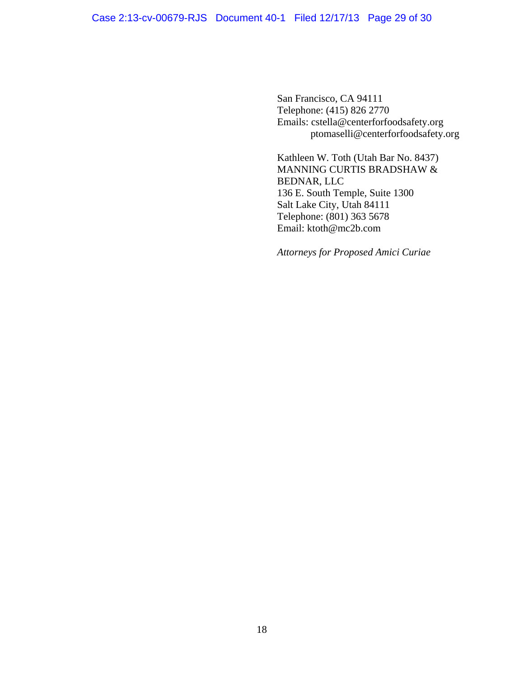San Francisco, CA 94111 Telephone: (415) 826 2770 Emails: cstella@centerforfoodsafety.org ptomaselli@centerforfoodsafety.org

Kathleen W. Toth (Utah Bar No. 8437) MANNING CURTIS BRADSHAW & BEDNAR, LLC 136 E. South Temple, Suite 1300 Salt Lake City, Utah 84111 Telephone: (801) 363 5678 Email: ktoth@mc2b.com

*Attorneys for Proposed Amici Curiae*